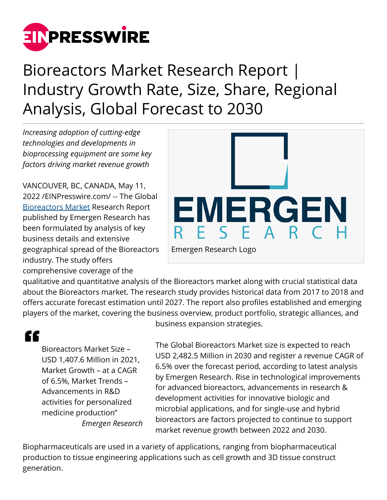

# Bioreactors Market Research Report | Industry Growth Rate, Size, Share, Regional Analysis, Global Forecast to 2030

*Increasing adoption of cutting-edge technologies and developments in bioprocessing equipment are some key factors driving market revenue growth*

VANCOUVER, BC, CANADA, May 11, 2022 /[EINPresswire.com](http://www.einpresswire.com)/ -- The Global [Bioreactors Market](https://www.emergenresearch.com/industry-report/bioreactors-market) Research Report published by Emergen Research has been formulated by analysis of key business details and extensive geographical spread of the Bioreactors industry. The study offers comprehensive coverage of the



qualitative and quantitative analysis of the Bioreactors market along with crucial statistical data about the Bioreactors market. The research study provides historical data from 2017 to 2018 and offers accurate forecast estimation until 2027. The report also profiles established and emerging players of the market, covering the business overview, product portfolio, strategic alliances, and

## "

Bioreactors Market Size – USD 1,407.6 Million in 2021, Market Growth – at a CAGR of 6.5%, Market Trends – Advancements in R&D activities for personalized medicine production" *Emergen Research* business expansion strategies.

The Global Bioreactors Market size is expected to reach USD 2,482.5 Million in 2030 and register a revenue CAGR of 6.5% over the forecast period, according to latest analysis by Emergen Research. Rise in technological improvements for advanced bioreactors, advancements in research & development activities for innovative biologic and microbial applications, and for single-use and hybrid bioreactors are factors projected to continue to support market revenue growth between 2022 and 2030.

Biopharmaceuticals are used in a variety of applications, ranging from biopharmaceutical production to tissue engineering applications such as cell growth and 3D tissue construct generation.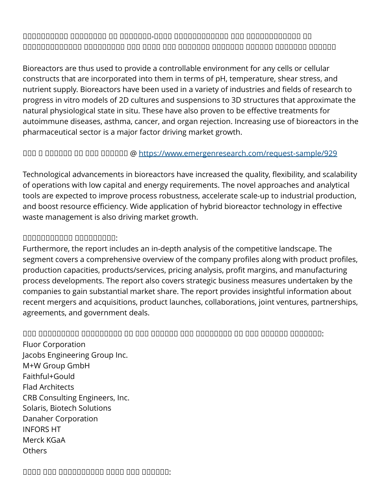$\Box$  $\Box$ 

Bioreactors are thus used to provide a controllable environment for any cells or cellular constructs that are incorporated into them in terms of pH, temperature, shear stress, and nutrient supply. Bioreactors have been used in a variety of industries and fields of research to progress in vitro models of 2D cultures and suspensions to 3D structures that approximate the natural physiological state in situ. These have also proven to be effective treatments for autoimmune diseases, asthma, cancer, and organ rejection. Increasing use of bioreactors in the pharmaceutical sector is a major factor driving market growth.

#### ᵝᵟᵠ ᵞ ᵠᵞᵟᵟᵟᵟ ᵟᵟ ᵠᵟᵟ ᵟᵟᵟᵟᵟᵠ @ <https://www.emergenresearch.com/request-sample/929>

Technological advancements in bioreactors have increased the quality, flexibility, and scalability of operations with low capital and energy requirements. The novel approaches and analytical tools are expected to improve process robustness, accelerate scale-up to industrial production, and boost resource efficiency. Wide application of hybrid bioreactor technology in effective waste management is also driving market growth.

#### ᵝᵟᵟᵟᵟᵠᵟᵠᵟᵠᵟ ᵝᵞᵟᵟᵠᵟᵞᵟᵟ:

Furthermore, the report includes an in-depth analysis of the competitive landscape. The segment covers a comprehensive overview of the company profiles along with product profiles, production capacities, products/services, pricing analysis, profit margins, and manufacturing process developments. The report also covers strategic business measures undertaken by the companies to gain substantial market share. The report provides insightful information about recent mergers and acquisitions, product launches, collaborations, joint ventures, partnerships, agreements, and government deals.

#### $\Box$

Fluor Corporation Jacobs Engineering Group Inc. M+W Group GmbH Faithful+Gould Flad Architects CRB Consulting Engineers, Inc. Solaris, Biotech Solutions Danaher Corporation INFORS HT Merck KGaA **Others** 

#### $\Box$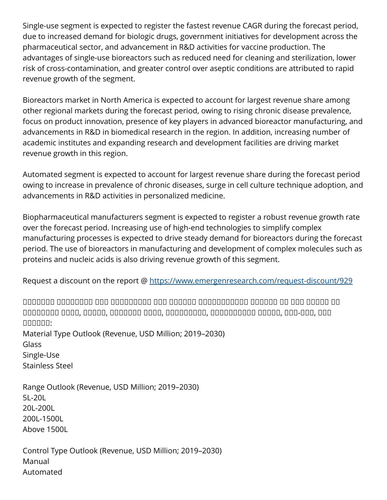Single-use segment is expected to register the fastest revenue CAGR during the forecast period, due to increased demand for biologic drugs, government initiatives for development across the pharmaceutical sector, and advancement in R&D activities for vaccine production. The advantages of single-use bioreactors such as reduced need for cleaning and sterilization, lower risk of cross-contamination, and greater control over aseptic conditions are attributed to rapid revenue growth of the segment.

Bioreactors market in North America is expected to account for largest revenue share among other regional markets during the forecast period, owing to rising chronic disease prevalence, focus on product innovation, presence of key players in advanced bioreactor manufacturing, and advancements in R&D in biomedical research in the region. In addition, increasing number of academic institutes and expanding research and development facilities are driving market revenue growth in this region.

Automated segment is expected to account for largest revenue share during the forecast period owing to increase in prevalence of chronic diseases, surge in cell culture technique adoption, and advancements in R&D activities in personalized medicine.

Biopharmaceutical manufacturers segment is expected to register a robust revenue growth rate over the forecast period. Increasing use of high-end technologies to simplify complex manufacturing processes is expected to drive steady demand for bioreactors during the forecast period. The use of bioreactors in manufacturing and development of complex molecules such as proteins and nucleic acids is also driving revenue growth of this segment.

Request a discount on the report @ <https://www.emergenresearch.com/request-discount/929>

 $\Box$ ᵟᵞᵠᵟᵟᵟᵞᵟ ᵠᵠᵟᵟ, ᵟᵞᵟᵟᵟ, ᵟᵟᵟᵠᵟᵟᵟ ᵠᵠᵟᵟ, ᵠᵠᵟᵟᵟᵟᵟᵟᵠ, ᵟᵟᵟᵟᵠᵟᵠᵟᵟᵟ ᵠᵟᵞᵟᵟ, ᵟᵟᵟ-ᵠᵠᵟ, ᵞᵟᵟ ᵟᵟᵟᵟᵟᵟ: Material Type Outlook (Revenue, USD Million; 2019–2030) Glass Single-Use Stainless Steel

Range Outlook (Revenue, USD Million; 2019–2030) 5L-20L 20L-200L 200L-1500L Above 1500L

Control Type Outlook (Revenue, USD Million; 2019–2030) Manual Automated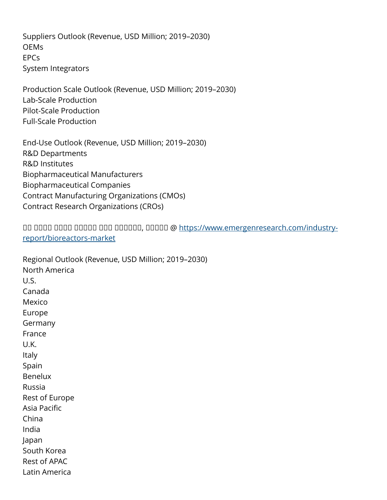Suppliers Outlook (Revenue, USD Million; 2019–2030) **OEMs** EPCs System Integrators

Production Scale Outlook (Revenue, USD Million; 2019–2030) Lab-Scale Production Pilot-Scale Production Full-Scale Production

End-Use Outlook (Revenue, USD Million; 2019–2030) R&D Departments R&D Institutes Biopharmaceutical Manufacturers Biopharmaceutical Companies Contract Manufacturing Organizations (CMOs) Contract Research Organizations (CROs)

ᵞᵟ ᵟᵟᵟᵠ ᵟᵟᵟᵟ ᵞᵞᵟᵠᵠ ᵠᵟᵟ ᵟᵟᵟᵟᵟᵠ, ᵠᵟᵠᵟᵠ @ [https://www.emergenresearch.com/industry](https://www.emergenresearch.com/industry-report/bioreactors-market)[report/bioreactors-market](https://www.emergenresearch.com/industry-report/bioreactors-market)

Regional Outlook (Revenue, USD Million; 2019–2030) North America U.S. Canada Mexico Europe Germany France U.K. Italy Spain Benelux Russia Rest of Europe Asia Pacific China India Japan South Korea Rest of APAC Latin America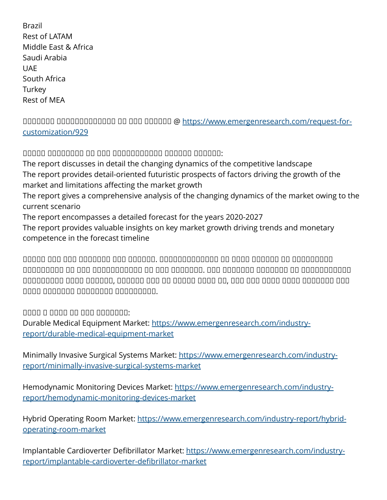Brazil Rest of LATAM Middle East & Africa Saudi Arabia **UAF** South Africa **Turkey** Rest of MEA

ᵞᵟᵟᵠᵟᵠᵠ ᵟᵠᵠᵠᵟᵟᵟᵠᵞᵠᵟᵟᵟ ᵟᵟ ᵠᵟᵟ ᵟᵟᵟᵟᵟᵠ @ [https://www.emergenresearch.com/request-for](https://www.emergenresearch.com/request-for-customization/929)[customization/929](https://www.emergenresearch.com/request-for-customization/929)

 $\Box$ 

The report discusses in detail the changing dynamics of the competitive landscape The report provides detail-oriented futuristic prospects of factors driving the growth of the market and limitations affecting the market growth

The report gives a comprehensive analysis of the changing dynamics of the market owing to the current scenario

The report encompasses a detailed forecast for the years 2020-2027

The report provides valuable insights on key market growth driving trends and monetary competence in the forecast timeline

 $\Box$  $\square$ ᵟᵟᵟᵞᵟᵟᵟᵟᵟ ᵠᵟᵟᵠ ᵟᵟᵟᵟᵟᵠ, ᵟᵟᵟᵞᵠᵟ ᵟᵟᵠ ᵟᵟ ᵠᵟᵠᵟᵟ ᵠᵟᵠᵟ ᵠᵠ, ᵞᵟᵟ ᵟᵠᵟ ᵠᵟᵞᵟ ᵠᵟᵟᵟ ᵟᵟᵟᵠᵟᵟᵟ ᵠᵟᵠ ᵠᵟᵠᵟ ᵟᵟᵠᵟᵟᵞᵟ ᵟᵟᵠᵟᵞᵟᵟᵟ ᵠᵟᵟᵠᵠᵟᵟᵟᵠ.

ᵞᵞᵟᵟ ᵞ ᵝᵟᵟᵟ ᵞᵠ ᵞᵞᵞ ᵞᵟᵟᵟᵟᵠᵠ:

Durable Medical Equipment Market: [https://www.emergenresearch.com/industry](https://www.emergenresearch.com/industry-report/durable-medical-equipment-market)[report/durable-medical-equipment-market](https://www.emergenresearch.com/industry-report/durable-medical-equipment-market)

Minimally Invasive Surgical Systems Market: [https://www.emergenresearch.com/industry](https://www.emergenresearch.com/industry-report/minimally-invasive-surgical-systems-market)[report/minimally-invasive-surgical-systems-market](https://www.emergenresearch.com/industry-report/minimally-invasive-surgical-systems-market)

Hemodynamic Monitoring Devices Market: [https://www.emergenresearch.com/industry](https://www.emergenresearch.com/industry-report/hemodynamic-monitoring-devices-market)[report/hemodynamic-monitoring-devices-market](https://www.emergenresearch.com/industry-report/hemodynamic-monitoring-devices-market)

Hybrid Operating Room Market: [https://www.emergenresearch.com/industry-report/hybrid](https://www.emergenresearch.com/industry-report/hybrid-operating-room-market)[operating-room-market](https://www.emergenresearch.com/industry-report/hybrid-operating-room-market)

Implantable Cardioverter Defibrillator Market: [https://www.emergenresearch.com/industry](https://www.emergenresearch.com/industry-report/implantable-cardioverter-defibrillator-market)[report/implantable-cardioverter-defibrillator-market](https://www.emergenresearch.com/industry-report/implantable-cardioverter-defibrillator-market)